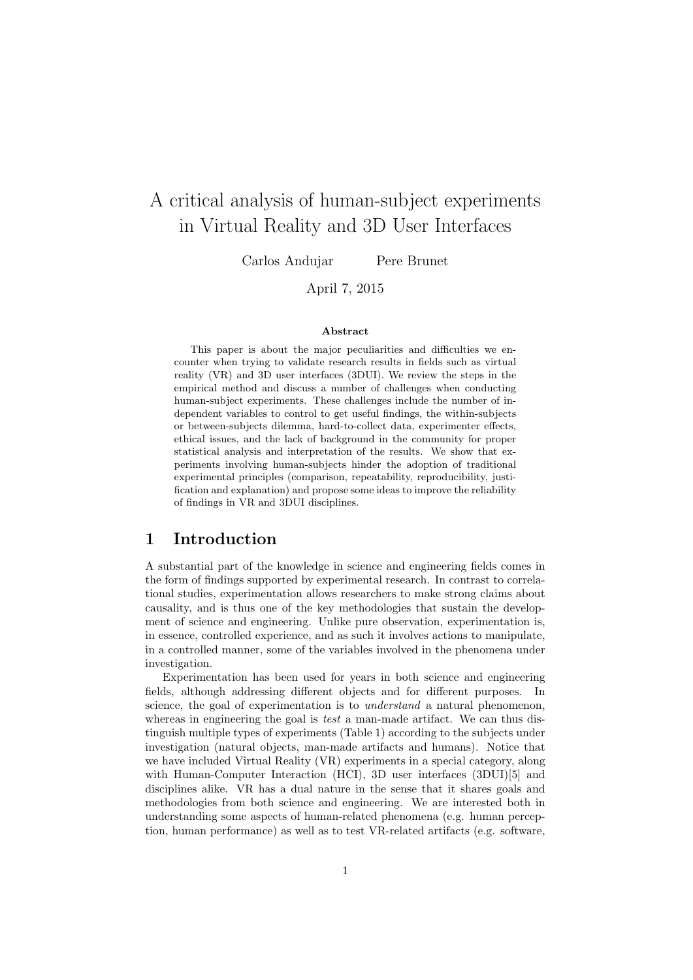# A critical analysis of human-subject experiments in Virtual Reality and 3D User Interfaces

Carlos Andujar Pere Brunet

April 7, 2015

#### Abstract

This paper is about the major peculiarities and difficulties we encounter when trying to validate research results in fields such as virtual reality (VR) and 3D user interfaces (3DUI). We review the steps in the empirical method and discuss a number of challenges when conducting human-subject experiments. These challenges include the number of independent variables to control to get useful findings, the within-subjects or between-subjects dilemma, hard-to-collect data, experimenter effects, ethical issues, and the lack of background in the community for proper statistical analysis and interpretation of the results. We show that experiments involving human-subjects hinder the adoption of traditional experimental principles (comparison, repeatability, reproducibility, justification and explanation) and propose some ideas to improve the reliability of findings in VR and 3DUI disciplines.

### 1 Introduction

A substantial part of the knowledge in science and engineering fields comes in the form of findings supported by experimental research. In contrast to correlational studies, experimentation allows researchers to make strong claims about causality, and is thus one of the key methodologies that sustain the development of science and engineering. Unlike pure observation, experimentation is, in essence, controlled experience, and as such it involves actions to manipulate, in a controlled manner, some of the variables involved in the phenomena under investigation.

Experimentation has been used for years in both science and engineering fields, although addressing different objects and for different purposes. In science, the goal of experimentation is to *understand* a natural phenomenon, whereas in engineering the goal is test a man-made artifact. We can thus distinguish multiple types of experiments (Table 1) according to the subjects under investigation (natural objects, man-made artifacts and humans). Notice that we have included Virtual Reality (VR) experiments in a special category, along with Human-Computer Interaction (HCI), 3D user interfaces (3DUI)[5] and disciplines alike. VR has a dual nature in the sense that it shares goals and methodologies from both science and engineering. We are interested both in understanding some aspects of human-related phenomena (e.g. human perception, human performance) as well as to test VR-related artifacts (e.g. software,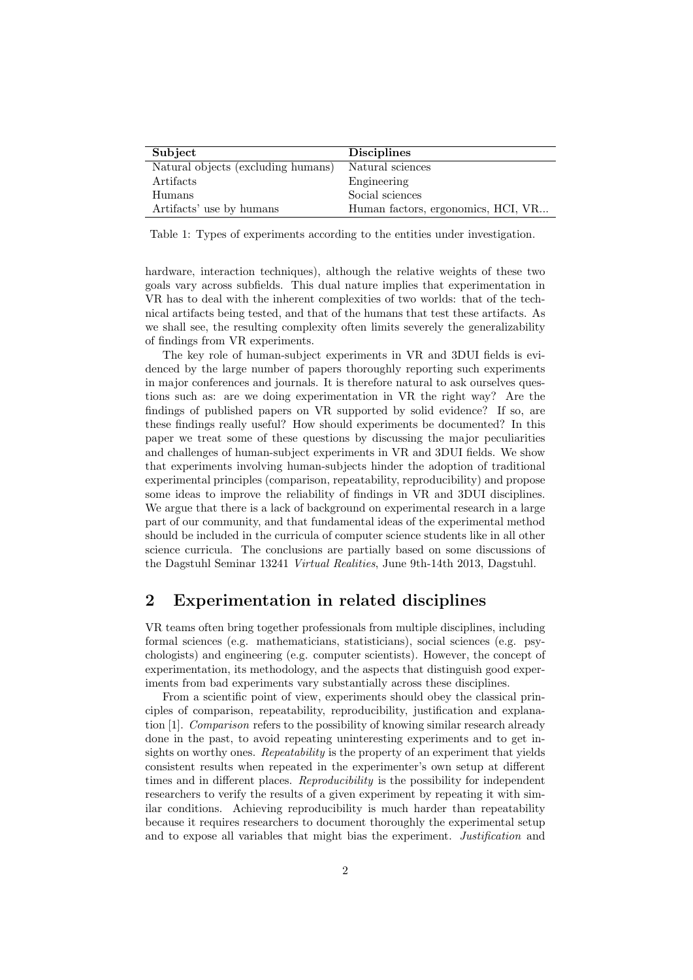| Subject                            | <b>Disciplines</b>                 |
|------------------------------------|------------------------------------|
| Natural objects (excluding humans) | Natural sciences                   |
| Artifacts                          | Engineering                        |
| Humans                             | Social sciences                    |
| Artifacts' use by humans           | Human factors, ergonomics, HCI, VR |

Table 1: Types of experiments according to the entities under investigation.

hardware, interaction techniques), although the relative weights of these two goals vary across subfields. This dual nature implies that experimentation in VR has to deal with the inherent complexities of two worlds: that of the technical artifacts being tested, and that of the humans that test these artifacts. As we shall see, the resulting complexity often limits severely the generalizability of findings from VR experiments.

The key role of human-subject experiments in VR and 3DUI fields is evidenced by the large number of papers thoroughly reporting such experiments in major conferences and journals. It is therefore natural to ask ourselves questions such as: are we doing experimentation in VR the right way? Are the findings of published papers on VR supported by solid evidence? If so, are these findings really useful? How should experiments be documented? In this paper we treat some of these questions by discussing the major peculiarities and challenges of human-subject experiments in VR and 3DUI fields. We show that experiments involving human-subjects hinder the adoption of traditional experimental principles (comparison, repeatability, reproducibility) and propose some ideas to improve the reliability of findings in VR and 3DUI disciplines. We argue that there is a lack of background on experimental research in a large part of our community, and that fundamental ideas of the experimental method should be included in the curricula of computer science students like in all other science curricula. The conclusions are partially based on some discussions of the Dagstuhl Seminar 13241 Virtual Realities, June 9th-14th 2013, Dagstuhl.

# 2 Experimentation in related disciplines

VR teams often bring together professionals from multiple disciplines, including formal sciences (e.g. mathematicians, statisticians), social sciences (e.g. psychologists) and engineering (e.g. computer scientists). However, the concept of experimentation, its methodology, and the aspects that distinguish good experiments from bad experiments vary substantially across these disciplines.

From a scientific point of view, experiments should obey the classical principles of comparison, repeatability, reproducibility, justification and explanation [1]. Comparison refers to the possibility of knowing similar research already done in the past, to avoid repeating uninteresting experiments and to get insights on worthy ones. Repeatability is the property of an experiment that yields consistent results when repeated in the experimenter's own setup at different times and in different places. Reproducibility is the possibility for independent researchers to verify the results of a given experiment by repeating it with similar conditions. Achieving reproducibility is much harder than repeatability because it requires researchers to document thoroughly the experimental setup and to expose all variables that might bias the experiment. *Justification* and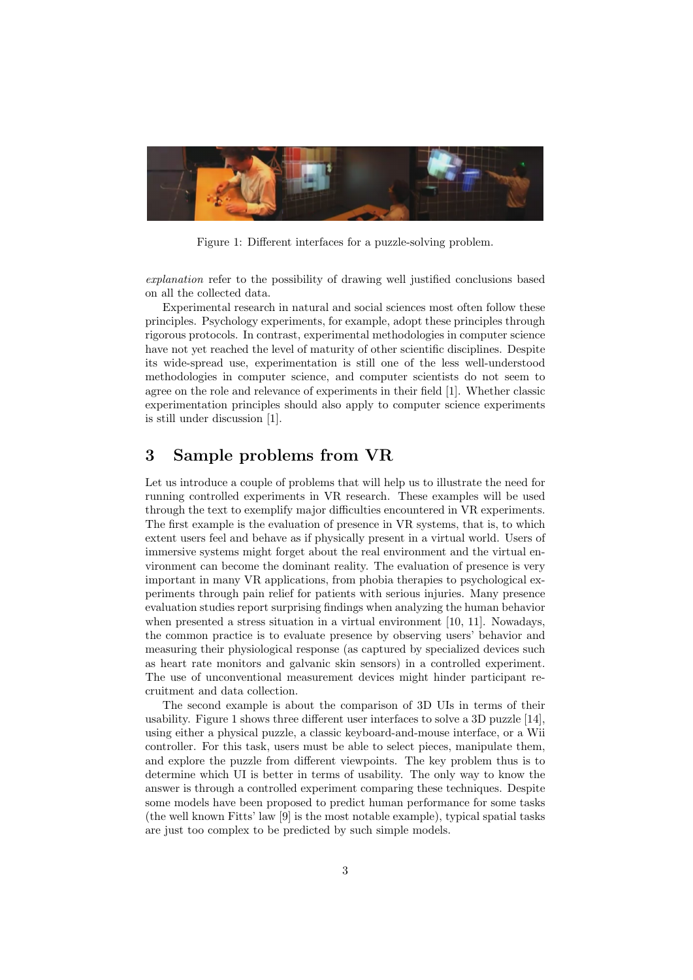

Figure 1: Different interfaces for a puzzle-solving problem.

explanation refer to the possibility of drawing well justified conclusions based on all the collected data.

Experimental research in natural and social sciences most often follow these principles. Psychology experiments, for example, adopt these principles through rigorous protocols. In contrast, experimental methodologies in computer science have not yet reached the level of maturity of other scientific disciplines. Despite its wide-spread use, experimentation is still one of the less well-understood methodologies in computer science, and computer scientists do not seem to agree on the role and relevance of experiments in their field [1]. Whether classic experimentation principles should also apply to computer science experiments is still under discussion [1].

# 3 Sample problems from VR

Let us introduce a couple of problems that will help us to illustrate the need for running controlled experiments in VR research. These examples will be used through the text to exemplify major difficulties encountered in VR experiments. The first example is the evaluation of presence in VR systems, that is, to which extent users feel and behave as if physically present in a virtual world. Users of immersive systems might forget about the real environment and the virtual environment can become the dominant reality. The evaluation of presence is very important in many VR applications, from phobia therapies to psychological experiments through pain relief for patients with serious injuries. Many presence evaluation studies report surprising findings when analyzing the human behavior when presented a stress situation in a virtual environment [10, 11]. Nowadays, the common practice is to evaluate presence by observing users' behavior and measuring their physiological response (as captured by specialized devices such as heart rate monitors and galvanic skin sensors) in a controlled experiment. The use of unconventional measurement devices might hinder participant recruitment and data collection.

The second example is about the comparison of 3D UIs in terms of their usability. Figure 1 shows three different user interfaces to solve a 3D puzzle [14], using either a physical puzzle, a classic keyboard-and-mouse interface, or a Wii controller. For this task, users must be able to select pieces, manipulate them, and explore the puzzle from different viewpoints. The key problem thus is to determine which UI is better in terms of usability. The only way to know the answer is through a controlled experiment comparing these techniques. Despite some models have been proposed to predict human performance for some tasks (the well known Fitts' law [9] is the most notable example), typical spatial tasks are just too complex to be predicted by such simple models.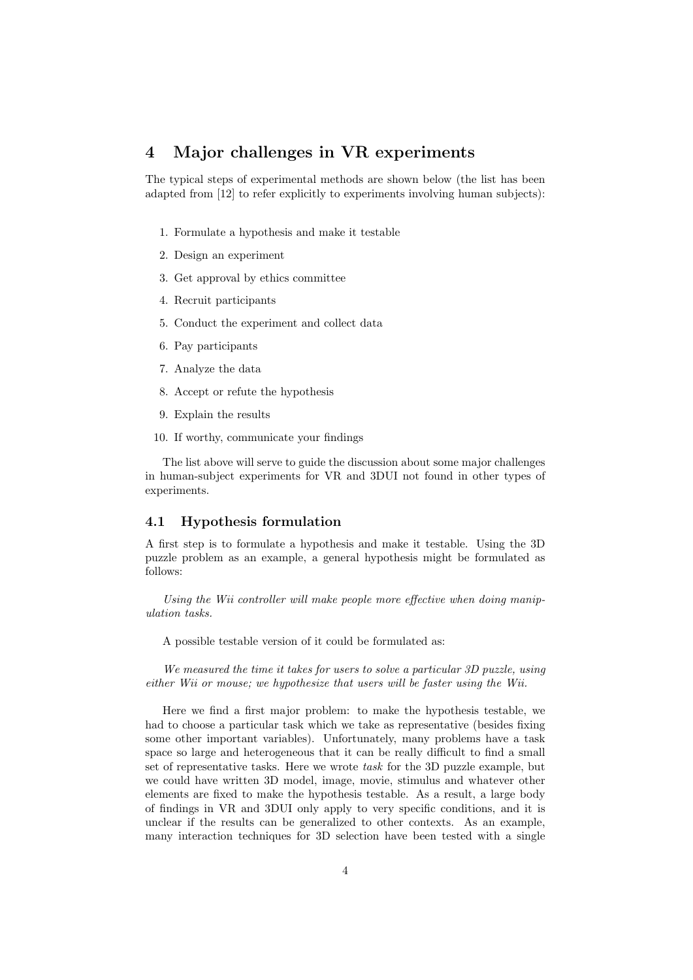## 4 Major challenges in VR experiments

The typical steps of experimental methods are shown below (the list has been adapted from [12] to refer explicitly to experiments involving human subjects):

- 1. Formulate a hypothesis and make it testable
- 2. Design an experiment
- 3. Get approval by ethics committee
- 4. Recruit participants
- 5. Conduct the experiment and collect data
- 6. Pay participants
- 7. Analyze the data
- 8. Accept or refute the hypothesis
- 9. Explain the results
- 10. If worthy, communicate your findings

The list above will serve to guide the discussion about some major challenges in human-subject experiments for VR and 3DUI not found in other types of experiments.

#### 4.1 Hypothesis formulation

A first step is to formulate a hypothesis and make it testable. Using the 3D puzzle problem as an example, a general hypothesis might be formulated as follows:

Using the Wii controller will make people more effective when doing manipulation tasks.

A possible testable version of it could be formulated as:

We measured the time it takes for users to solve a particular 3D puzzle, using either Wii or mouse; we hypothesize that users will be faster using the Wii.

Here we find a first major problem: to make the hypothesis testable, we had to choose a particular task which we take as representative (besides fixing some other important variables). Unfortunately, many problems have a task space so large and heterogeneous that it can be really difficult to find a small set of representative tasks. Here we wrote task for the 3D puzzle example, but we could have written 3D model, image, movie, stimulus and whatever other elements are fixed to make the hypothesis testable. As a result, a large body of findings in VR and 3DUI only apply to very specific conditions, and it is unclear if the results can be generalized to other contexts. As an example, many interaction techniques for 3D selection have been tested with a single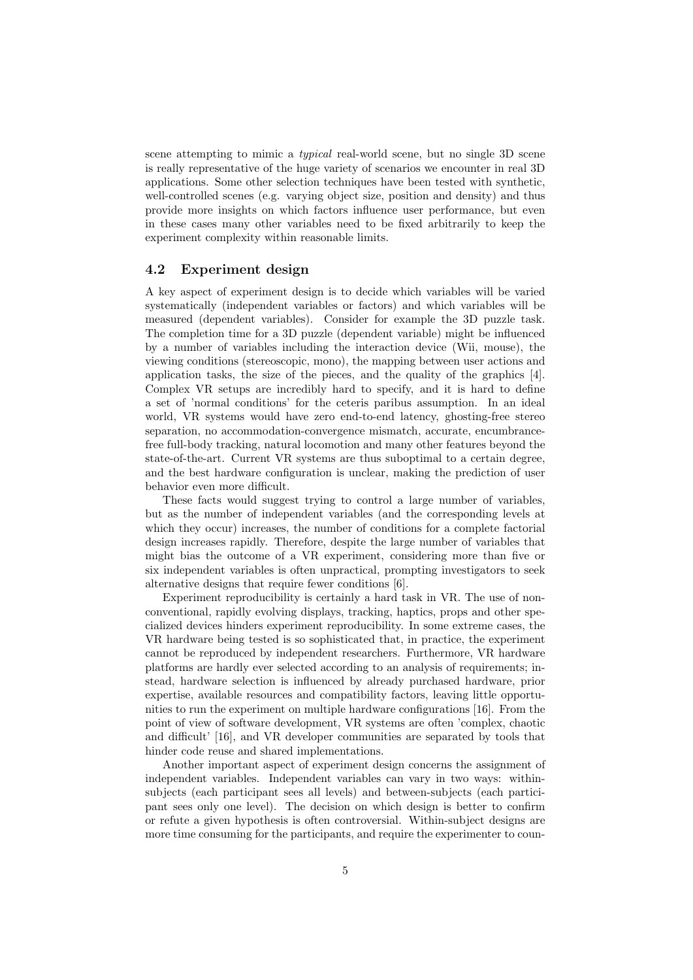scene attempting to mimic a typical real-world scene, but no single 3D scene is really representative of the huge variety of scenarios we encounter in real 3D applications. Some other selection techniques have been tested with synthetic, well-controlled scenes (e.g. varying object size, position and density) and thus provide more insights on which factors influence user performance, but even in these cases many other variables need to be fixed arbitrarily to keep the experiment complexity within reasonable limits.

#### 4.2 Experiment design

A key aspect of experiment design is to decide which variables will be varied systematically (independent variables or factors) and which variables will be measured (dependent variables). Consider for example the 3D puzzle task. The completion time for a 3D puzzle (dependent variable) might be influenced by a number of variables including the interaction device (Wii, mouse), the viewing conditions (stereoscopic, mono), the mapping between user actions and application tasks, the size of the pieces, and the quality of the graphics [4]. Complex VR setups are incredibly hard to specify, and it is hard to define a set of 'normal conditions' for the ceteris paribus assumption. In an ideal world, VR systems would have zero end-to-end latency, ghosting-free stereo separation, no accommodation-convergence mismatch, accurate, encumbrancefree full-body tracking, natural locomotion and many other features beyond the state-of-the-art. Current VR systems are thus suboptimal to a certain degree, and the best hardware configuration is unclear, making the prediction of user behavior even more difficult.

These facts would suggest trying to control a large number of variables, but as the number of independent variables (and the corresponding levels at which they occur) increases, the number of conditions for a complete factorial design increases rapidly. Therefore, despite the large number of variables that might bias the outcome of a VR experiment, considering more than five or six independent variables is often unpractical, prompting investigators to seek alternative designs that require fewer conditions [6].

Experiment reproducibility is certainly a hard task in VR. The use of nonconventional, rapidly evolving displays, tracking, haptics, props and other specialized devices hinders experiment reproducibility. In some extreme cases, the VR hardware being tested is so sophisticated that, in practice, the experiment cannot be reproduced by independent researchers. Furthermore, VR hardware platforms are hardly ever selected according to an analysis of requirements; instead, hardware selection is influenced by already purchased hardware, prior expertise, available resources and compatibility factors, leaving little opportunities to run the experiment on multiple hardware configurations [16]. From the point of view of software development, VR systems are often 'complex, chaotic and difficult' [16], and VR developer communities are separated by tools that hinder code reuse and shared implementations.

Another important aspect of experiment design concerns the assignment of independent variables. Independent variables can vary in two ways: withinsubjects (each participant sees all levels) and between-subjects (each participant sees only one level). The decision on which design is better to confirm or refute a given hypothesis is often controversial. Within-subject designs are more time consuming for the participants, and require the experimenter to coun-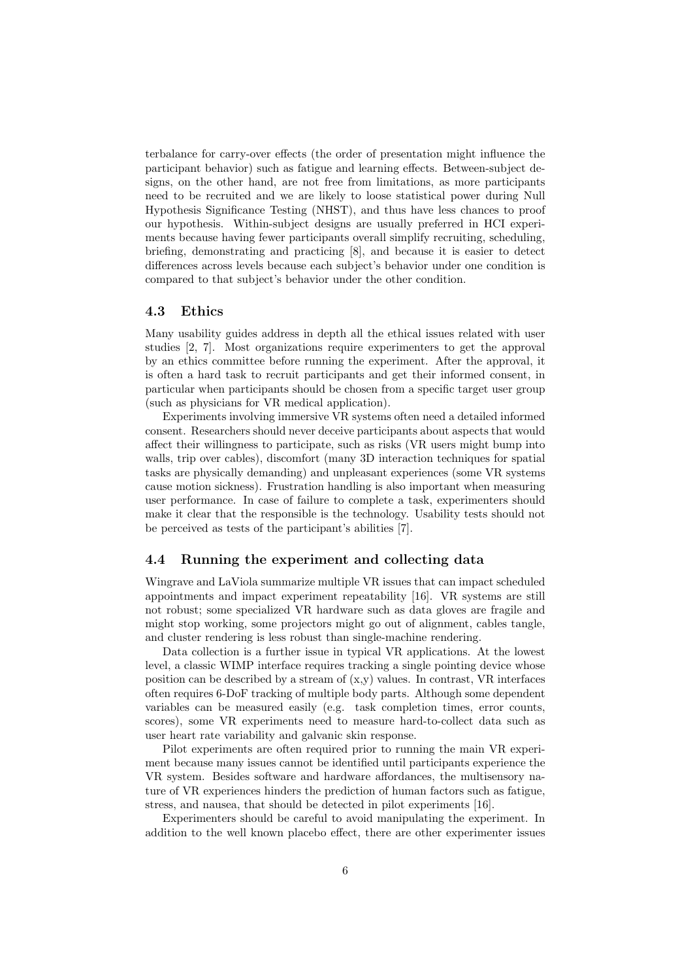terbalance for carry-over effects (the order of presentation might influence the participant behavior) such as fatigue and learning effects. Between-subject designs, on the other hand, are not free from limitations, as more participants need to be recruited and we are likely to loose statistical power during Null Hypothesis Significance Testing (NHST), and thus have less chances to proof our hypothesis. Within-subject designs are usually preferred in HCI experiments because having fewer participants overall simplify recruiting, scheduling, briefing, demonstrating and practicing [8], and because it is easier to detect differences across levels because each subject's behavior under one condition is compared to that subject's behavior under the other condition.

#### 4.3 Ethics

Many usability guides address in depth all the ethical issues related with user studies [2, 7]. Most organizations require experimenters to get the approval by an ethics committee before running the experiment. After the approval, it is often a hard task to recruit participants and get their informed consent, in particular when participants should be chosen from a specific target user group (such as physicians for VR medical application).

Experiments involving immersive VR systems often need a detailed informed consent. Researchers should never deceive participants about aspects that would affect their willingness to participate, such as risks (VR users might bump into walls, trip over cables), discomfort (many 3D interaction techniques for spatial tasks are physically demanding) and unpleasant experiences (some VR systems cause motion sickness). Frustration handling is also important when measuring user performance. In case of failure to complete a task, experimenters should make it clear that the responsible is the technology. Usability tests should not be perceived as tests of the participant's abilities [7].

#### 4.4 Running the experiment and collecting data

Wingrave and LaViola summarize multiple VR issues that can impact scheduled appointments and impact experiment repeatability [16]. VR systems are still not robust; some specialized VR hardware such as data gloves are fragile and might stop working, some projectors might go out of alignment, cables tangle, and cluster rendering is less robust than single-machine rendering.

Data collection is a further issue in typical VR applications. At the lowest level, a classic WIMP interface requires tracking a single pointing device whose position can be described by a stream of  $(x,y)$  values. In contrast, VR interfaces often requires 6-DoF tracking of multiple body parts. Although some dependent variables can be measured easily (e.g. task completion times, error counts, scores), some VR experiments need to measure hard-to-collect data such as user heart rate variability and galvanic skin response.

Pilot experiments are often required prior to running the main VR experiment because many issues cannot be identified until participants experience the VR system. Besides software and hardware affordances, the multisensory nature of VR experiences hinders the prediction of human factors such as fatigue, stress, and nausea, that should be detected in pilot experiments [16].

Experimenters should be careful to avoid manipulating the experiment. In addition to the well known placebo effect, there are other experimenter issues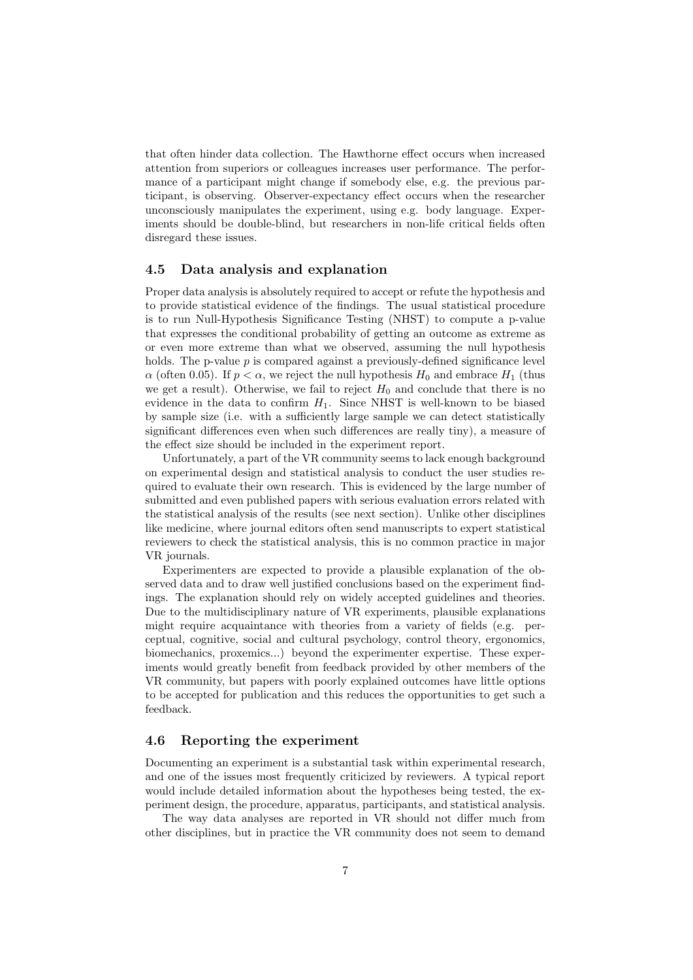that often hinder data collection. The Hawthorne effect occurs when increased attention from superiors or colleagues increases user performance. The performance of a participant might change if somebody else, e.g. the previous participant, is observing. Observer-expectancy effect occurs when the researcher unconsciously manipulates the experiment, using e.g. body language. Experiments should be double-blind, but researchers in non-life critical fields often disregard these issues.

#### 4.5 Data analysis and explanation

Proper data analysis is absolutely required to accept or refute the hypothesis and to provide statistical evidence of the findings. The usual statistical procedure is to run Null-Hypothesis Significance Testing (NHST) to compute a p-value that expresses the conditional probability of getting an outcome as extreme as or even more extreme than what we observed, assuming the null hypothesis holds. The p-value  $p$  is compared against a previously-defined significance level  $\alpha$  (often 0.05). If  $p < \alpha$ , we reject the null hypothesis  $H_0$  and embrace  $H_1$  (thus we get a result). Otherwise, we fail to reject  $H_0$  and conclude that there is no evidence in the data to confirm  $H_1$ . Since NHST is well-known to be biased by sample size (i.e. with a sufficiently large sample we can detect statistically significant differences even when such differences are really tiny), a measure of the effect size should be included in the experiment report.

Unfortunately, a part of the VR community seems to lack enough background on experimental design and statistical analysis to conduct the user studies required to evaluate their own research. This is evidenced by the large number of submitted and even published papers with serious evaluation errors related with the statistical analysis of the results (see next section). Unlike other disciplines like medicine, where journal editors often send manuscripts to expert statistical reviewers to check the statistical analysis, this is no common practice in major VR journals.

Experimenters are expected to provide a plausible explanation of the observed data and to draw well justified conclusions based on the experiment findings. The explanation should rely on widely accepted guidelines and theories. Due to the multidisciplinary nature of VR experiments, plausible explanations might require acquaintance with theories from a variety of fields (e.g. perceptual, cognitive, social and cultural psychology, control theory, ergonomics, biomechanics, proxemics...) beyond the experimenter expertise. These experiments would greatly benefit from feedback provided by other members of the VR community, but papers with poorly explained outcomes have little options to be accepted for publication and this reduces the opportunities to get such a feedback.

#### 4.6 Reporting the experiment

Documenting an experiment is a substantial task within experimental research, and one of the issues most frequently criticized by reviewers. A typical report would include detailed information about the hypotheses being tested, the experiment design, the procedure, apparatus, participants, and statistical analysis.

The way data analyses are reported in VR should not differ much from other disciplines, but in practice the VR community does not seem to demand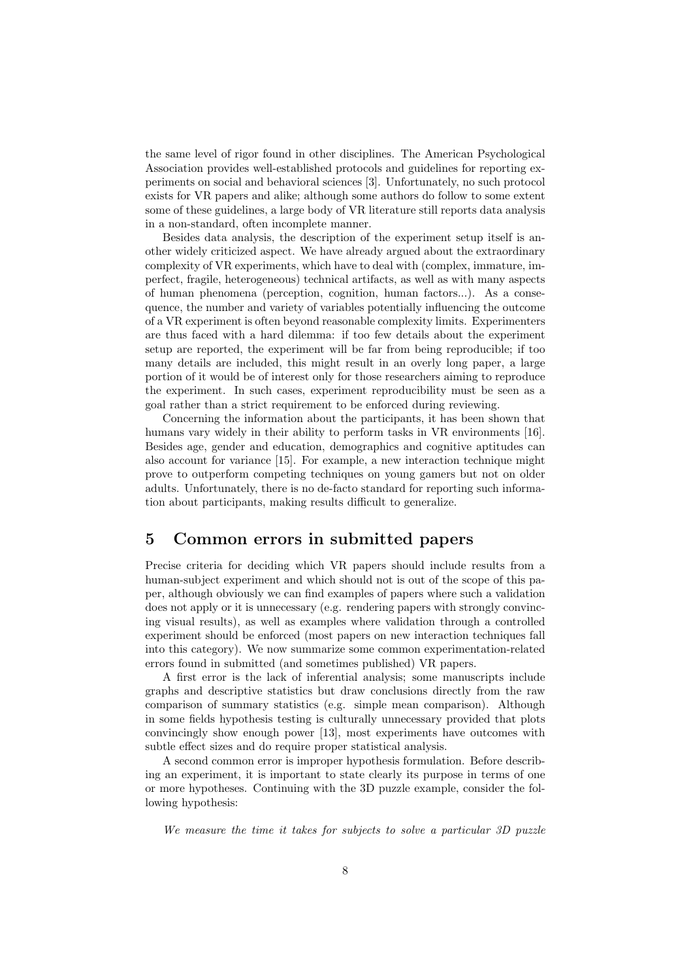the same level of rigor found in other disciplines. The American Psychological Association provides well-established protocols and guidelines for reporting experiments on social and behavioral sciences [3]. Unfortunately, no such protocol exists for VR papers and alike; although some authors do follow to some extent some of these guidelines, a large body of VR literature still reports data analysis in a non-standard, often incomplete manner.

Besides data analysis, the description of the experiment setup itself is another widely criticized aspect. We have already argued about the extraordinary complexity of VR experiments, which have to deal with (complex, immature, imperfect, fragile, heterogeneous) technical artifacts, as well as with many aspects of human phenomena (perception, cognition, human factors...). As a consequence, the number and variety of variables potentially influencing the outcome of a VR experiment is often beyond reasonable complexity limits. Experimenters are thus faced with a hard dilemma: if too few details about the experiment setup are reported, the experiment will be far from being reproducible; if too many details are included, this might result in an overly long paper, a large portion of it would be of interest only for those researchers aiming to reproduce the experiment. In such cases, experiment reproducibility must be seen as a goal rather than a strict requirement to be enforced during reviewing.

Concerning the information about the participants, it has been shown that humans vary widely in their ability to perform tasks in VR environments [16]. Besides age, gender and education, demographics and cognitive aptitudes can also account for variance [15]. For example, a new interaction technique might prove to outperform competing techniques on young gamers but not on older adults. Unfortunately, there is no de-facto standard for reporting such information about participants, making results difficult to generalize.

### 5 Common errors in submitted papers

Precise criteria for deciding which VR papers should include results from a human-subject experiment and which should not is out of the scope of this paper, although obviously we can find examples of papers where such a validation does not apply or it is unnecessary (e.g. rendering papers with strongly convincing visual results), as well as examples where validation through a controlled experiment should be enforced (most papers on new interaction techniques fall into this category). We now summarize some common experimentation-related errors found in submitted (and sometimes published) VR papers.

A first error is the lack of inferential analysis; some manuscripts include graphs and descriptive statistics but draw conclusions directly from the raw comparison of summary statistics (e.g. simple mean comparison). Although in some fields hypothesis testing is culturally unnecessary provided that plots convincingly show enough power [13], most experiments have outcomes with subtle effect sizes and do require proper statistical analysis.

A second common error is improper hypothesis formulation. Before describing an experiment, it is important to state clearly its purpose in terms of one or more hypotheses. Continuing with the 3D puzzle example, consider the following hypothesis:

We measure the time it takes for subjects to solve a particular 3D puzzle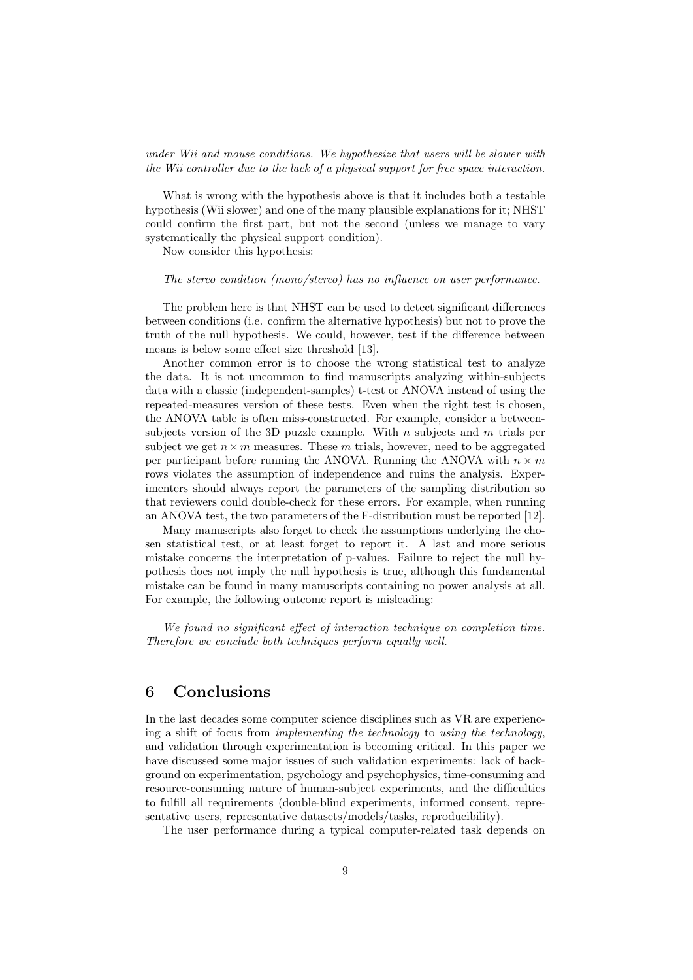under Wii and mouse conditions. We hypothesize that users will be slower with the Wii controller due to the lack of a physical support for free space interaction.

What is wrong with the hypothesis above is that it includes both a testable hypothesis (Wii slower) and one of the many plausible explanations for it; NHST could confirm the first part, but not the second (unless we manage to vary systematically the physical support condition).

Now consider this hypothesis:

#### The stereo condition (mono/stereo) has no influence on user performance.

The problem here is that NHST can be used to detect significant differences between conditions (i.e. confirm the alternative hypothesis) but not to prove the truth of the null hypothesis. We could, however, test if the difference between means is below some effect size threshold [13].

Another common error is to choose the wrong statistical test to analyze the data. It is not uncommon to find manuscripts analyzing within-subjects data with a classic (independent-samples) t-test or ANOVA instead of using the repeated-measures version of these tests. Even when the right test is chosen, the ANOVA table is often miss-constructed. For example, consider a betweensubjects version of the 3D puzzle example. With  $n$  subjects and  $m$  trials per subject we get  $n \times m$  measures. These m trials, however, need to be aggregated per participant before running the ANOVA. Running the ANOVA with  $n \times m$ rows violates the assumption of independence and ruins the analysis. Experimenters should always report the parameters of the sampling distribution so that reviewers could double-check for these errors. For example, when running an ANOVA test, the two parameters of the F-distribution must be reported [12].

Many manuscripts also forget to check the assumptions underlying the chosen statistical test, or at least forget to report it. A last and more serious mistake concerns the interpretation of p-values. Failure to reject the null hypothesis does not imply the null hypothesis is true, although this fundamental mistake can be found in many manuscripts containing no power analysis at all. For example, the following outcome report is misleading:

We found no significant effect of interaction technique on completion time. Therefore we conclude both techniques perform equally well.

# 6 Conclusions

In the last decades some computer science disciplines such as VR are experiencing a shift of focus from implementing the technology to using the technology, and validation through experimentation is becoming critical. In this paper we have discussed some major issues of such validation experiments: lack of background on experimentation, psychology and psychophysics, time-consuming and resource-consuming nature of human-subject experiments, and the difficulties to fulfill all requirements (double-blind experiments, informed consent, representative users, representative datasets/models/tasks, reproducibility).

The user performance during a typical computer-related task depends on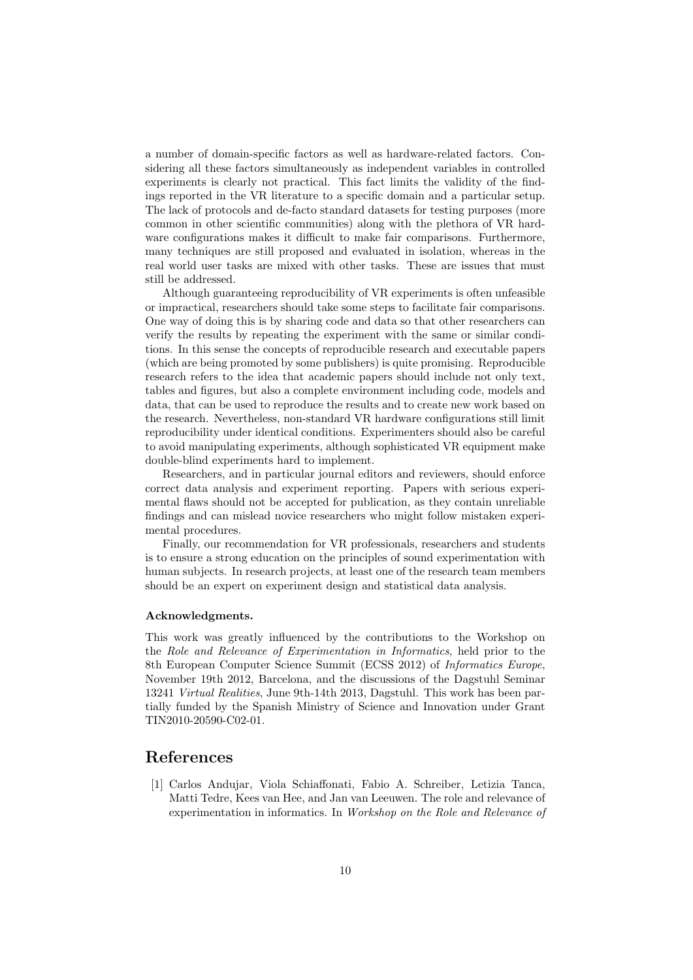a number of domain-specific factors as well as hardware-related factors. Considering all these factors simultaneously as independent variables in controlled experiments is clearly not practical. This fact limits the validity of the findings reported in the VR literature to a specific domain and a particular setup. The lack of protocols and de-facto standard datasets for testing purposes (more common in other scientific communities) along with the plethora of VR hardware configurations makes it difficult to make fair comparisons. Furthermore, many techniques are still proposed and evaluated in isolation, whereas in the real world user tasks are mixed with other tasks. These are issues that must still be addressed.

Although guaranteeing reproducibility of VR experiments is often unfeasible or impractical, researchers should take some steps to facilitate fair comparisons. One way of doing this is by sharing code and data so that other researchers can verify the results by repeating the experiment with the same or similar conditions. In this sense the concepts of reproducible research and executable papers (which are being promoted by some publishers) is quite promising. Reproducible research refers to the idea that academic papers should include not only text, tables and figures, but also a complete environment including code, models and data, that can be used to reproduce the results and to create new work based on the research. Nevertheless, non-standard VR hardware configurations still limit reproducibility under identical conditions. Experimenters should also be careful to avoid manipulating experiments, although sophisticated VR equipment make double-blind experiments hard to implement.

Researchers, and in particular journal editors and reviewers, should enforce correct data analysis and experiment reporting. Papers with serious experimental flaws should not be accepted for publication, as they contain unreliable findings and can mislead novice researchers who might follow mistaken experimental procedures.

Finally, our recommendation for VR professionals, researchers and students is to ensure a strong education on the principles of sound experimentation with human subjects. In research projects, at least one of the research team members should be an expert on experiment design and statistical data analysis.

#### Acknowledgments.

This work was greatly influenced by the contributions to the Workshop on the Role and Relevance of Experimentation in Informatics, held prior to the 8th European Computer Science Summit (ECSS 2012) of Informatics Europe, November 19th 2012, Barcelona, and the discussions of the Dagstuhl Seminar 13241 Virtual Realities, June 9th-14th 2013, Dagstuhl. This work has been partially funded by the Spanish Ministry of Science and Innovation under Grant TIN2010-20590-C02-01.

### References

[1] Carlos Andujar, Viola Schiaffonati, Fabio A. Schreiber, Letizia Tanca, Matti Tedre, Kees van Hee, and Jan van Leeuwen. The role and relevance of experimentation in informatics. In Workshop on the Role and Relevance of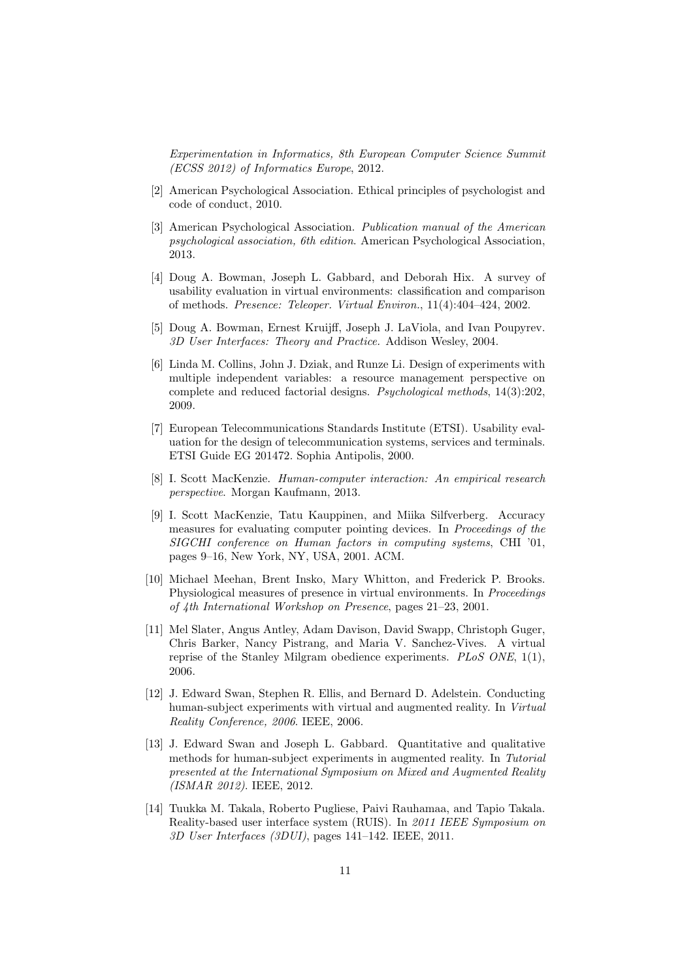Experimentation in Informatics, 8th European Computer Science Summit (ECSS 2012) of Informatics Europe, 2012.

- [2] American Psychological Association. Ethical principles of psychologist and code of conduct, 2010.
- [3] American Psychological Association. Publication manual of the American psychological association, 6th edition. American Psychological Association, 2013.
- [4] Doug A. Bowman, Joseph L. Gabbard, and Deborah Hix. A survey of usability evaluation in virtual environments: classification and comparison of methods. Presence: Teleoper. Virtual Environ., 11(4):404–424, 2002.
- [5] Doug A. Bowman, Ernest Kruijff, Joseph J. LaViola, and Ivan Poupyrev. 3D User Interfaces: Theory and Practice. Addison Wesley, 2004.
- [6] Linda M. Collins, John J. Dziak, and Runze Li. Design of experiments with multiple independent variables: a resource management perspective on complete and reduced factorial designs. Psychological methods, 14(3):202, 2009.
- [7] European Telecommunications Standards Institute (ETSI). Usability evaluation for the design of telecommunication systems, services and terminals. ETSI Guide EG 201472. Sophia Antipolis, 2000.
- [8] I. Scott MacKenzie. Human-computer interaction: An empirical research perspective. Morgan Kaufmann, 2013.
- [9] I. Scott MacKenzie, Tatu Kauppinen, and Miika Silfverberg. Accuracy measures for evaluating computer pointing devices. In Proceedings of the SIGCHI conference on Human factors in computing systems, CHI '01, pages 9–16, New York, NY, USA, 2001. ACM.
- [10] Michael Meehan, Brent Insko, Mary Whitton, and Frederick P. Brooks. Physiological measures of presence in virtual environments. In Proceedings of 4th International Workshop on Presence, pages 21–23, 2001.
- [11] Mel Slater, Angus Antley, Adam Davison, David Swapp, Christoph Guger, Chris Barker, Nancy Pistrang, and Maria V. Sanchez-Vives. A virtual reprise of the Stanley Milgram obedience experiments. PLoS ONE, 1(1), 2006.
- [12] J. Edward Swan, Stephen R. Ellis, and Bernard D. Adelstein. Conducting human-subject experiments with virtual and augmented reality. In Virtual Reality Conference, 2006. IEEE, 2006.
- [13] J. Edward Swan and Joseph L. Gabbard. Quantitative and qualitative methods for human-subject experiments in augmented reality. In Tutorial presented at the International Symposium on Mixed and Augmented Reality (ISMAR 2012). IEEE, 2012.
- [14] Tuukka M. Takala, Roberto Pugliese, Paivi Rauhamaa, and Tapio Takala. Reality-based user interface system (RUIS). In 2011 IEEE Symposium on 3D User Interfaces (3DUI), pages 141–142. IEEE, 2011.